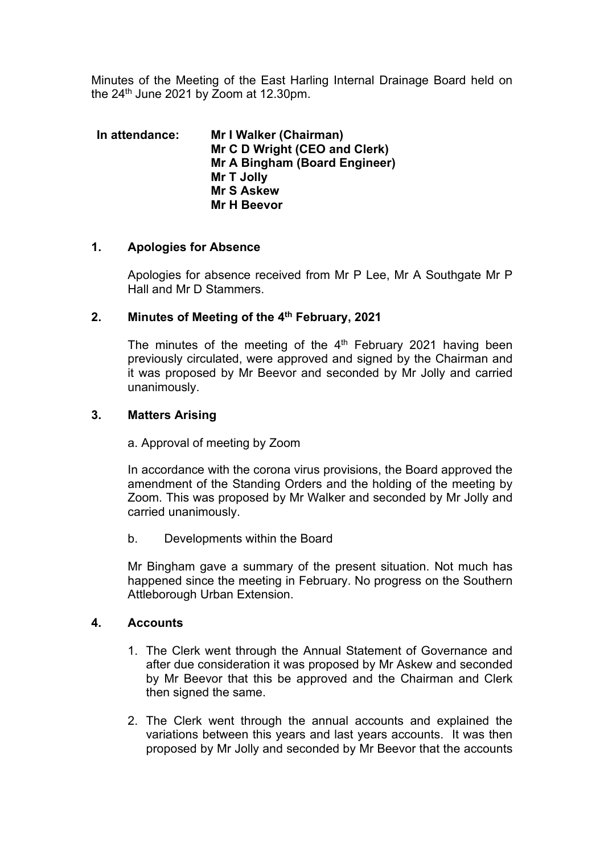Minutes of the Meeting of the East Harling Internal Drainage Board held on the  $24<sup>th</sup>$  June 2021 by Zoom at 12.30pm.

**In attendance: Mr I Walker (Chairman) Mr C D Wright (CEO and Clerk) Mr A Bingham (Board Engineer) Mr T Jolly Mr S Askew Mr H Beevor**

## **1. Apologies for Absence**

Apologies for absence received from Mr P Lee, Mr A Southgate Mr P Hall and Mr D Stammers.

## **2. Minutes of Meeting of the 4th February, 2021**

The minutes of the meeting of the  $4<sup>th</sup>$  February 2021 having been previously circulated, were approved and signed by the Chairman and it was proposed by Mr Beevor and seconded by Mr Jolly and carried unanimously.

## **3. Matters Arising**

a. Approval of meeting by Zoom

In accordance with the corona virus provisions, the Board approved the amendment of the Standing Orders and the holding of the meeting by Zoom. This was proposed by Mr Walker and seconded by Mr Jolly and carried unanimously.

b. Developments within the Board

Mr Bingham gave a summary of the present situation. Not much has happened since the meeting in February. No progress on the Southern Attleborough Urban Extension.

## **4. Accounts**

- 1. The Clerk went through the Annual Statement of Governance and after due consideration it was proposed by Mr Askew and seconded by Mr Beevor that this be approved and the Chairman and Clerk then signed the same.
- 2. The Clerk went through the annual accounts and explained the variations between this years and last years accounts. It was then proposed by Mr Jolly and seconded by Mr Beevor that the accounts